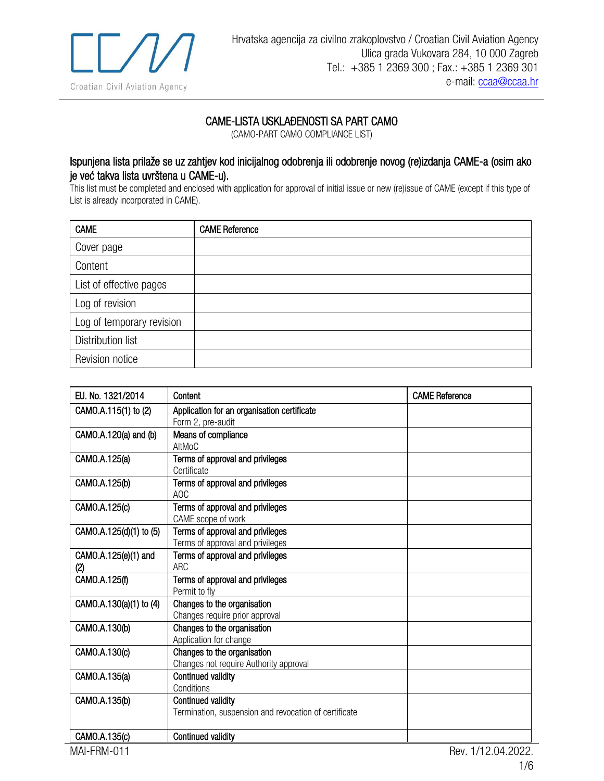

## CAME-LISTA USKLAĐENOSTI SA PART CAMO

(CAMO-PART CAMO COMPLIANCE LIST)

## Ispunjena lista prilaže se uz zahtjev kod inicijalnog odobrenja ili odobrenje novog (re)izdanja CAME-a (osim ako je već takva lista uvrštena u CAME-u).

This list must be completed and enclosed with application for approval of initial issue or new (re)issue of CAME (except if this type of List is already incorporated in CAME).

| <b>CAME</b>               | <b>CAME Reference</b> |
|---------------------------|-----------------------|
| Cover page                |                       |
| Content                   |                       |
| List of effective pages   |                       |
| Log of revision           |                       |
| Log of temporary revision |                       |
| Distribution list         |                       |
| Revision notice           |                       |

| EU. No. 1321/2014           | Content                                                                            | <b>CAME Reference</b> |
|-----------------------------|------------------------------------------------------------------------------------|-----------------------|
| CAMO.A.115(1) to (2)        | Application for an organisation certificate<br>Form 2, pre-audit                   |                       |
| CAMO.A.120(a) and (b)       | Means of compliance<br>AltMoC                                                      |                       |
| CAMO.A.125(a)               | Terms of approval and privileges<br>Certificate                                    |                       |
| CAMO.A.125(b)               | Terms of approval and privileges<br>AOC                                            |                       |
| CAMO.A.125(c)               | Terms of approval and privileges<br>CAME scope of work                             |                       |
| CAMO.A.125(d)(1) to (5)     | Terms of approval and privileges<br>Terms of approval and privileges               |                       |
| CAMO.A.125(e)(1) and<br>(2) | Terms of approval and privileges<br><b>ARC</b>                                     |                       |
| CAMO.A.125(f)               | Terms of approval and privileges<br>Permit to fly                                  |                       |
| CAMO.A.130(a)(1) to (4)     | Changes to the organisation<br>Changes require prior approval                      |                       |
| CAMO.A.130(b)               | Changes to the organisation<br>Application for change                              |                       |
| CAMO.A.130(c)               | Changes to the organisation<br>Changes not require Authority approval              |                       |
| CAMO.A.135(a)               | Continued validity<br>Conditions                                                   |                       |
| CAMO.A.135(b)               | <b>Continued validity</b><br>Termination, suspension and revocation of certificate |                       |
| CAMO.A.135(c)               | <b>Continued validity</b>                                                          |                       |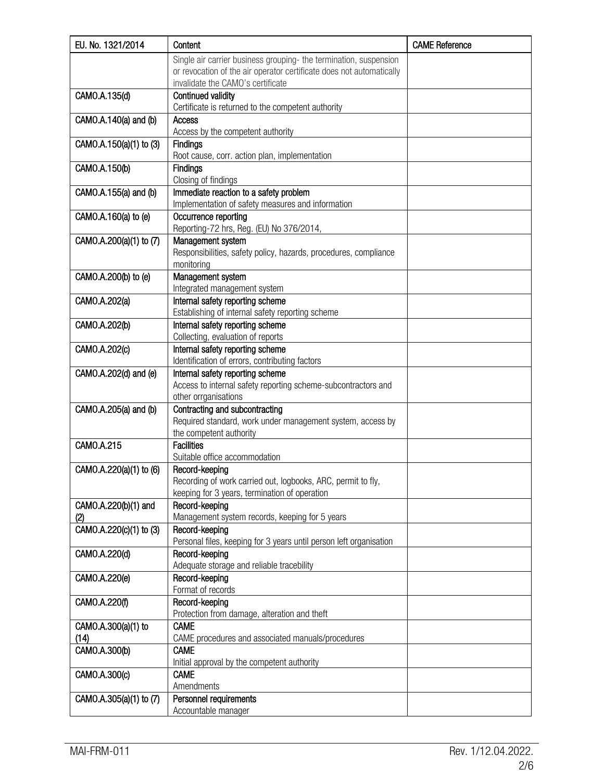| EU. No. 1321/2014       | Content                                                                               | <b>CAME Reference</b> |
|-------------------------|---------------------------------------------------------------------------------------|-----------------------|
|                         | Single air carrier business grouping- the termination, suspension                     |                       |
|                         | or revocation of the air operator certificate does not automatically                  |                       |
|                         | invalidate the CAMO's certificate                                                     |                       |
| CAMO.A.135(d)           | <b>Continued validity</b>                                                             |                       |
|                         | Certificate is returned to the competent authority                                    |                       |
| CAMO.A.140(a) and (b)   | Access                                                                                |                       |
|                         | Access by the competent authority                                                     |                       |
| CAMO.A.150(a)(1) to (3) | <b>Findings</b>                                                                       |                       |
|                         | Root cause, corr. action plan, implementation                                         |                       |
| CAMO.A.150(b)           | <b>Findings</b>                                                                       |                       |
|                         | Closing of findings                                                                   |                       |
| CAMO.A.155(a) and (b)   | Immediate reaction to a safety problem                                                |                       |
|                         | Implementation of safety measures and information                                     |                       |
| CAMO.A.160(a) to (e)    | Occurrence reporting                                                                  |                       |
|                         | Reporting-72 hrs, Reg. (EU) No 376/2014,                                              |                       |
| CAMO.A.200(a)(1) to (7) | Management system<br>Responsibilities, safety policy, hazards, procedures, compliance |                       |
|                         | monitoring                                                                            |                       |
| CAMO.A.200(b) to (e)    | Management system                                                                     |                       |
|                         | Integrated management system                                                          |                       |
| CAMO.A.202(a)           | Internal safety reporting scheme                                                      |                       |
|                         | Establishing of internal safety reporting scheme                                      |                       |
| CAMO.A.202(b)           | Internal safety reporting scheme                                                      |                       |
|                         | Collecting, evaluation of reports                                                     |                       |
| CAMO.A.202(c)           | Internal safety reporting scheme                                                      |                       |
|                         | Identification of errors, contributing factors                                        |                       |
| CAMO.A.202(d) and (e)   | Internal safety reporting scheme                                                      |                       |
|                         | Access to internal safety reporting scheme-subcontractors and                         |                       |
|                         | other orrganisations                                                                  |                       |
| CAMO.A.205(a) and (b)   | Contracting and subcontracting                                                        |                       |
|                         | Required standard, work under management system, access by                            |                       |
|                         | the competent authority                                                               |                       |
| CAMO.A.215              | <b>Facilities</b><br>Suitable office accommodation                                    |                       |
| CAMO.A.220(a)(1) to (6) | Record-keeping                                                                        |                       |
|                         | Recording of work carried out, logbooks, ARC, permit to fly,                          |                       |
|                         | keeping for 3 years, termination of operation                                         |                       |
| CAMO.A.220(b)(1) and    | Record-keeping                                                                        |                       |
| (2)                     | Management system records, keeping for 5 years                                        |                       |
| CAMO.A.220(c)(1) to (3) | Record-keeping                                                                        |                       |
|                         | Personal files, keeping for 3 years until person left organisation                    |                       |
| CAMO.A.220(d)           | Record-keeping                                                                        |                       |
|                         | Adequate storage and reliable tracebility                                             |                       |
| CAMO.A.220(e)           | Record-keeping                                                                        |                       |
|                         | Format of records                                                                     |                       |
| CAMO.A.220(f)           | Record-keeping                                                                        |                       |
|                         | Protection from damage, alteration and theft                                          |                       |
| CAMO.A.300(a)(1) to     | <b>CAME</b>                                                                           |                       |
| (14)                    | CAME procedures and associated manuals/procedures                                     |                       |
| CAMO.A.300(b)           | <b>CAME</b>                                                                           |                       |
|                         | Initial approval by the competent authority<br><b>CAME</b>                            |                       |
| CAMO.A.300(c)           | Amendments                                                                            |                       |
| CAMO.A.305(a)(1) to (7) | Personnel requirements                                                                |                       |
|                         | Accountable manager                                                                   |                       |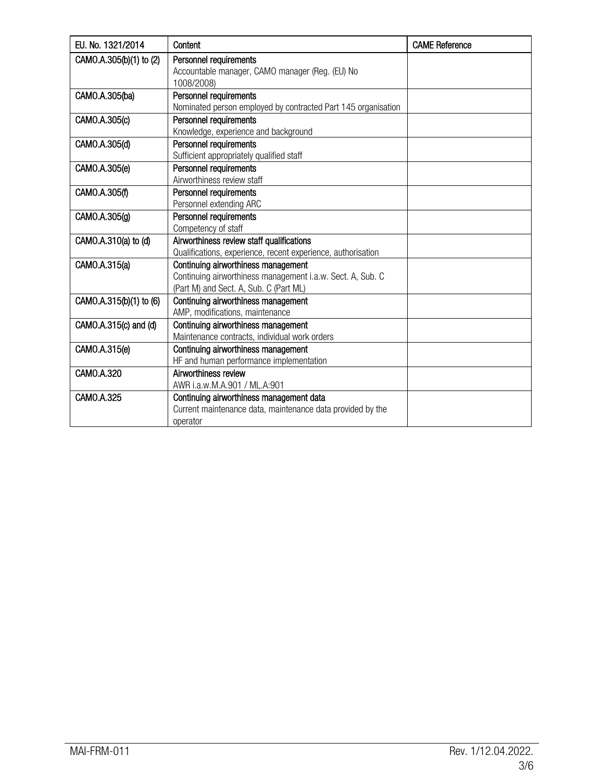| EU, No. 1321/2014       | Content                                                       | <b>CAME Reference</b> |
|-------------------------|---------------------------------------------------------------|-----------------------|
| CAMO.A.305(b)(1) to (2) | Personnel requirements                                        |                       |
|                         | Accountable manager, CAMO manager (Reg. (EU) No               |                       |
|                         | 1008/2008)                                                    |                       |
| CAMO.A.305(ba)          | Personnel requirements                                        |                       |
|                         | Nominated person employed by contracted Part 145 organisation |                       |
| CAMO.A.305(c)           | Personnel requirements                                        |                       |
|                         | Knowledge, experience and background                          |                       |
| CAMO.A.305(d)           | Personnel requirements                                        |                       |
|                         | Sufficient appropriately qualified staff                      |                       |
| CAMO.A.305(e)           | Personnel requirements                                        |                       |
|                         | Airworthiness review staff                                    |                       |
| CAMO.A.305(f)           | Personnel requirements                                        |                       |
|                         | Personnel extending ARC                                       |                       |
| CAMO.A.305(g)           | Personnel requirements                                        |                       |
|                         | Competency of staff                                           |                       |
| CAMO.A.310(a) to (d)    | Airworthiness review staff qualifications                     |                       |
|                         | Qualifications, experience, recent experience, authorisation  |                       |
| CAMO.A.315(a)           | Continuing airworthiness management                           |                       |
|                         | Continuing airworthiness management i.a.w. Sect. A, Sub. C    |                       |
|                         | (Part M) and Sect. A, Sub. C (Part ML)                        |                       |
| CAMO.A.315(b)(1) to (6) | Continuing airworthiness management                           |                       |
|                         | AMP, modifications, maintenance                               |                       |
| CAMO.A.315(c) and (d)   | Continuing airworthiness management                           |                       |
|                         | Maintenance contracts, individual work orders                 |                       |
| CAMO.A.315(e)           | Continuing airworthiness management                           |                       |
|                         | HF and human performance implementation                       |                       |
| CAMO.A.320              | Airworthiness review                                          |                       |
|                         | AWR i.a.w.M.A.901 / ML.A:901                                  |                       |
| CAMO.A.325              | Continuing airworthiness management data                      |                       |
|                         | Current maintenance data, maintenance data provided by the    |                       |
|                         | operator                                                      |                       |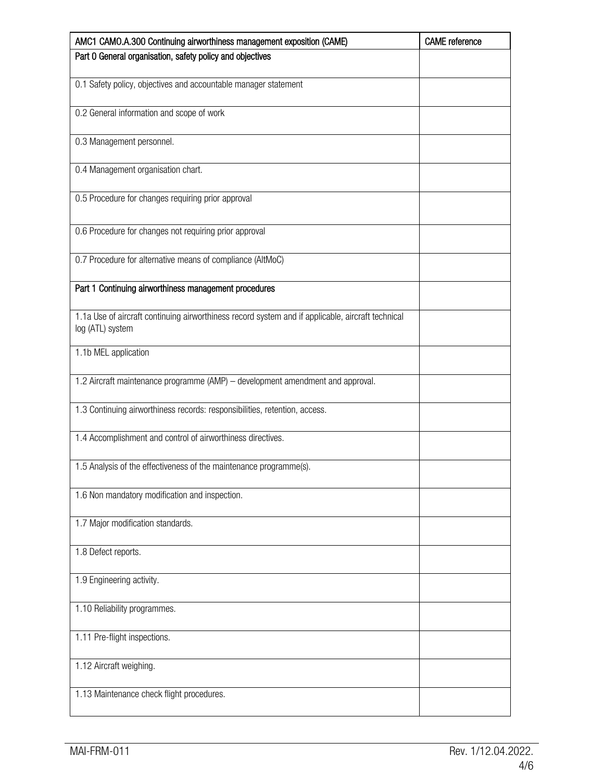| AMC1 CAMO.A.300 Continuing airworthiness management exposition (CAME)                                                 | <b>CAME</b> reference |
|-----------------------------------------------------------------------------------------------------------------------|-----------------------|
| Part 0 General organisation, safety policy and objectives                                                             |                       |
| 0.1 Safety policy, objectives and accountable manager statement                                                       |                       |
| 0.2 General information and scope of work                                                                             |                       |
| 0.3 Management personnel.                                                                                             |                       |
| 0.4 Management organisation chart.                                                                                    |                       |
| 0.5 Procedure for changes requiring prior approval                                                                    |                       |
| 0.6 Procedure for changes not requiring prior approval                                                                |                       |
| 0.7 Procedure for alternative means of compliance (AltMoC)                                                            |                       |
| Part 1 Continuing airworthiness management procedures                                                                 |                       |
| 1.1a Use of aircraft continuing airworthiness record system and if applicable, aircraft technical<br>log (ATL) system |                       |
| 1.1b MEL application                                                                                                  |                       |
| 1.2 Aircraft maintenance programme (AMP) - development amendment and approval.                                        |                       |
| 1.3 Continuing airworthiness records: responsibilities, retention, access.                                            |                       |
| 1.4 Accomplishment and control of airworthiness directives.                                                           |                       |
| 1.5 Analysis of the effectiveness of the maintenance programme(s).                                                    |                       |
| 1.6 Non mandatory modification and inspection.                                                                        |                       |
| 1.7 Major modification standards.                                                                                     |                       |
| 1.8 Defect reports.                                                                                                   |                       |
| 1.9 Engineering activity.                                                                                             |                       |
| 1.10 Reliability programmes.                                                                                          |                       |
| 1.11 Pre-flight inspections.                                                                                          |                       |
| 1.12 Aircraft weighing.                                                                                               |                       |
| 1.13 Maintenance check flight procedures.                                                                             |                       |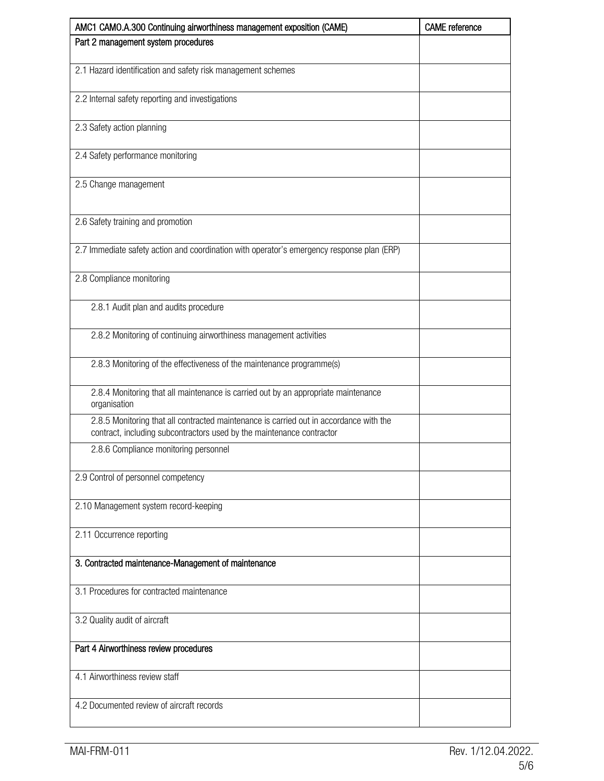| AMC1 CAMO.A.300 Continuing airworthiness management exposition (CAME)                                                                                           | <b>CAME</b> reference |
|-----------------------------------------------------------------------------------------------------------------------------------------------------------------|-----------------------|
| Part 2 management system procedures                                                                                                                             |                       |
| 2.1 Hazard identification and safety risk management schemes                                                                                                    |                       |
| 2.2 Internal safety reporting and investigations                                                                                                                |                       |
| 2.3 Safety action planning                                                                                                                                      |                       |
| 2.4 Safety performance monitoring                                                                                                                               |                       |
| 2.5 Change management                                                                                                                                           |                       |
| 2.6 Safety training and promotion                                                                                                                               |                       |
| 2.7 Immediate safety action and coordination with operator's emergency response plan (ERP)                                                                      |                       |
| 2.8 Compliance monitoring                                                                                                                                       |                       |
| 2.8.1 Audit plan and audits procedure                                                                                                                           |                       |
| 2.8.2 Monitoring of continuing airworthiness management activities                                                                                              |                       |
| 2.8.3 Monitoring of the effectiveness of the maintenance programme(s)                                                                                           |                       |
| 2.8.4 Monitoring that all maintenance is carried out by an appropriate maintenance<br>organisation                                                              |                       |
| 2.8.5 Monitoring that all contracted maintenance is carried out in accordance with the<br>contract, including subcontractors used by the maintenance contractor |                       |
| 2.8.6 Compliance monitoring personnel                                                                                                                           |                       |
| 2.9 Control of personnel competency                                                                                                                             |                       |
| 2.10 Management system record-keeping                                                                                                                           |                       |
| 2.11 Occurrence reporting                                                                                                                                       |                       |
| 3. Contracted maintenance-Management of maintenance                                                                                                             |                       |
| 3.1 Procedures for contracted maintenance                                                                                                                       |                       |
| 3.2 Quality audit of aircraft                                                                                                                                   |                       |
| Part 4 Airworthiness review procedures                                                                                                                          |                       |
| 4.1 Airworthiness review staff                                                                                                                                  |                       |
| 4.2 Documented review of aircraft records                                                                                                                       |                       |